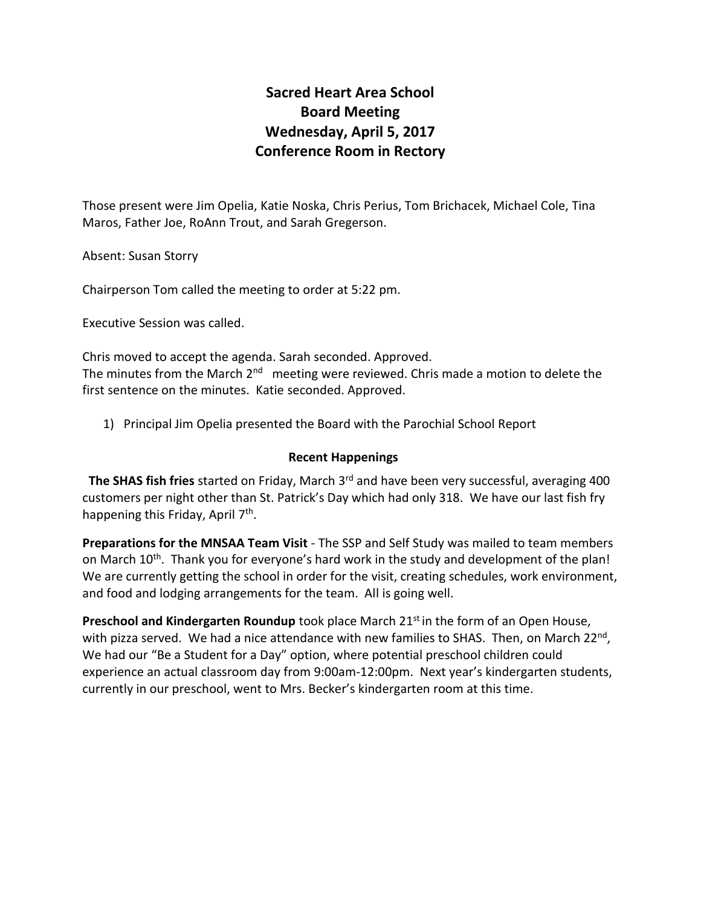# **Sacred Heart Area School Board Meeting Wednesday, April 5, 2017 Conference Room in Rectory**

Those present were Jim Opelia, Katie Noska, Chris Perius, Tom Brichacek, Michael Cole, Tina Maros, Father Joe, RoAnn Trout, and Sarah Gregerson.

Absent: Susan Storry

Chairperson Tom called the meeting to order at 5:22 pm.

Executive Session was called.

Chris moved to accept the agenda. Sarah seconded. Approved. The minutes from the March 2<sup>nd</sup> meeting were reviewed. Chris made a motion to delete the first sentence on the minutes. Katie seconded. Approved.

1) Principal Jim Opelia presented the Board with the Parochial School Report

## **Recent Happenings**

**The SHAS fish fries** started on Friday, March 3rd and have been very successful, averaging 400 customers per night other than St. Patrick's Day which had only 318. We have our last fish fry happening this Friday, April 7<sup>th</sup>.

**Preparations for the MNSAA Team Visit** - The SSP and Self Study was mailed to team members on March 10<sup>th</sup>. Thank you for everyone's hard work in the study and development of the plan! We are currently getting the school in order for the visit, creating schedules, work environment, and food and lodging arrangements for the team. All is going well.

**Preschool and Kindergarten Roundup** took place March 21<sup>st</sup> in the form of an Open House, with pizza served. We had a nice attendance with new families to SHAS. Then, on March 22<sup>nd</sup>, We had our "Be a Student for a Day" option, where potential preschool children could experience an actual classroom day from 9:00am-12:00pm. Next year's kindergarten students, currently in our preschool, went to Mrs. Becker's kindergarten room at this time.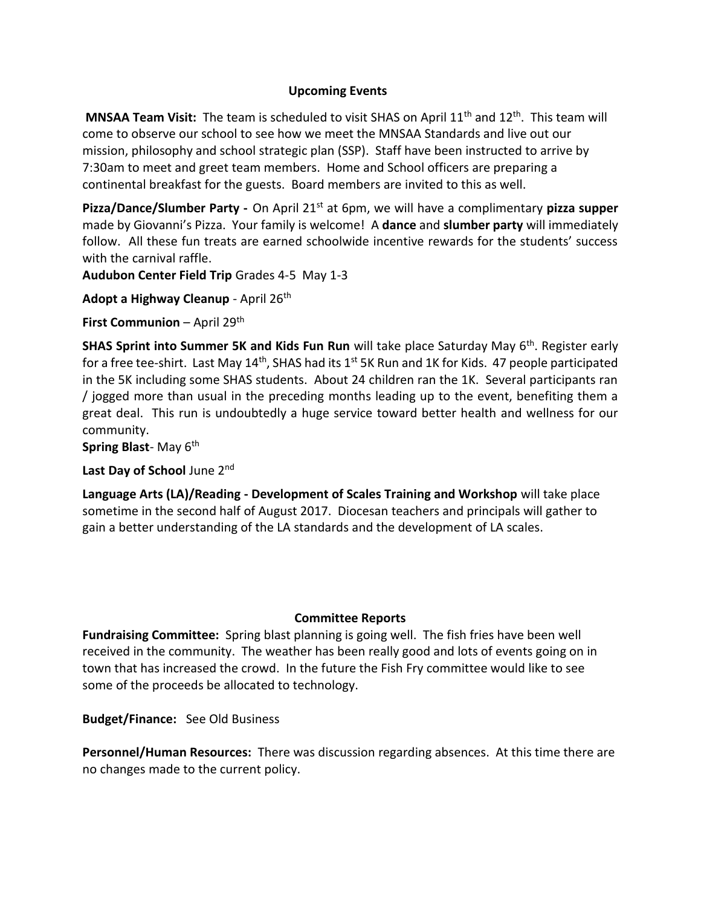## **Upcoming Events**

**MNSAA Team Visit:** The team is scheduled to visit SHAS on April 11<sup>th</sup> and 12<sup>th</sup>. This team will come to observe our school to see how we meet the MNSAA Standards and live out our mission, philosophy and school strategic plan (SSP). Staff have been instructed to arrive by 7:30am to meet and greet team members. Home and School officers are preparing a continental breakfast for the guests. Board members are invited to this as well.

Pizza/Dance/Slumber Party - On April 21<sup>st</sup> at 6pm, we will have a complimentary pizza supper made by Giovanni's Pizza. Your family is welcome! A **dance** and **slumber party** will immediately follow. All these fun treats are earned schoolwide incentive rewards for the students' success with the carnival raffle.

**Audubon Center Field Trip** Grades 4-5 May 1-3

Adopt a Highway Cleanup - April 26<sup>th</sup>

**First Communion** – April 29<sup>th</sup>

**SHAS Sprint into Summer 5K and Kids Fun Run** will take place Saturday May 6<sup>th</sup>. Register early for a free tee-shirt. Last May  $14<sup>th</sup>$ , SHAS had its  $1<sup>st</sup>$  5K Run and 1K for Kids. 47 people participated in the 5K including some SHAS students. About 24 children ran the 1K. Several participants ran / jogged more than usual in the preceding months leading up to the event, benefiting them a great deal. This run is undoubtedly a huge service toward better health and wellness for our community.

**Spring Blast-May 6th** 

**Last Day of School** June 2nd

**Language Arts (LA)/Reading - Development of Scales Training and Workshop** will take place sometime in the second half of August 2017. Diocesan teachers and principals will gather to gain a better understanding of the LA standards and the development of LA scales.

## **Committee Reports**

**Fundraising Committee:** Spring blast planning is going well. The fish fries have been well received in the community. The weather has been really good and lots of events going on in town that has increased the crowd. In the future the Fish Fry committee would like to see some of the proceeds be allocated to technology.

**Budget/Finance:** See Old Business

**Personnel/Human Resources:** There was discussion regarding absences. At this time there are no changes made to the current policy.